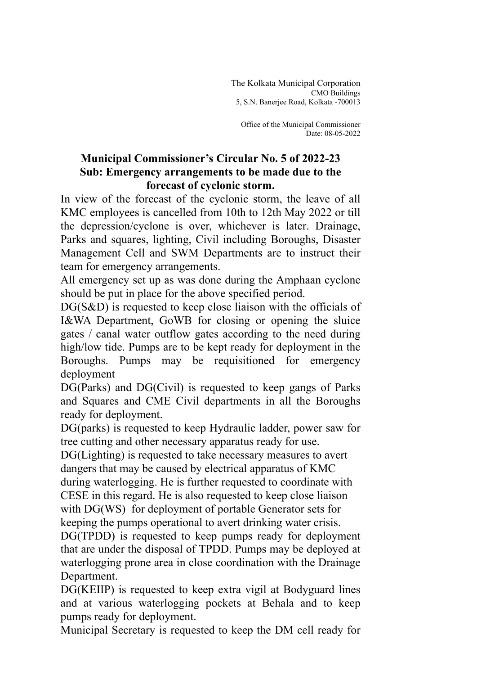The Kolkata Municipal Corporation CMO Buildings 5, S.N. Banerjee Road, Kolkata -700013

Office of the Municipal Commissioner Date: 08-05-2022

## **Municipal Commissioner's Circular No. 5 of 2022-23 Sub: Emergency arrangements to be made due to the forecast of cyclonic storm.**

In view of the forecast of the cyclonic storm, the leave of all KMC employees is cancelled from 10th to 12th May 2022 or till the depression/cyclone is over, whichever is later. Drainage, Parks and squares, lighting, Civil including Boroughs, Disaster Management Cell and SWM Departments are to instruct their team for emergency arrangements.

All emergency set up as was done during the Amphaan cyclone should be put in place for the above specified period.

DG(S&D) is requested to keep close liaison with the officials of I&WA Department, GoWB for closing or opening the sluice gates / canal water outflow gates according to the need during high/low tide. Pumps are to be kept ready for deployment in the Boroughs. Pumps may be requisitioned for emergency deployment

DG(Parks) and DG(Civil) is requested to keep gangs of Parks and Squares and CME Civil departments in all the Boroughs ready for deployment.

DG(parks) is requested to keep Hydraulic ladder, power saw for tree cutting and other necessary apparatus ready for use.

DG(Lighting) is requested to take necessary measures to avert dangers that may be caused by electrical apparatus of KMC during waterlogging. He is further requested to coordinate with CESE in this regard. He is also requested to keep close liaison with DG(WS) for deployment of portable Generator sets for

keeping the pumps operational to avert drinking water crisis.

DG(TPDD) is requested to keep pumps ready for deployment that are under the disposal of TPDD. Pumps may be deployed at waterlogging prone area in close coordination with the Drainage Department.

DG(KEIIP) is requested to keep extra vigil at Bodyguard lines and at various waterlogging pockets at Behala and to keep pumps ready for deployment.

Municipal Secretary is requested to keep the DM cell ready for